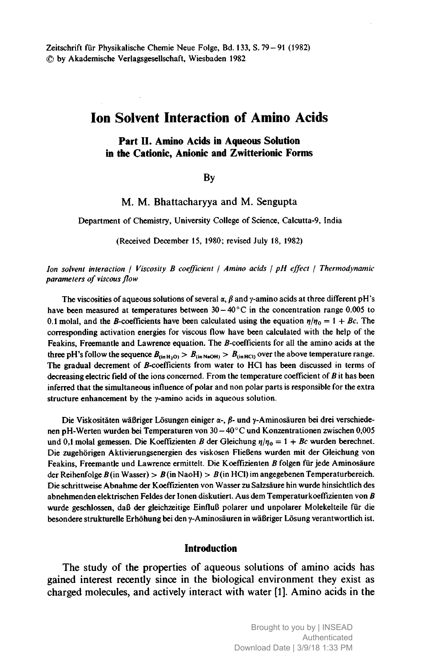Zeitschrift für Physikalische Chemie Neue Folge, Bd. 133, S. 79-91 (1982) © by Akademische Verlagsgesellschaft, Wiesbaden <sup>1982</sup>

# Ion Solvent Interaction of Amino Acids

### Part II. Amino Acids in Aqueous Solution in the Cationic, Anionic and Zwitterionic Forms

### By

. M. Bhattacharyya and M. Sengupta

Department of Chemistry, University College of Science, Calcutta-9, India

(Received December 15, 1980; revised July 18, 1982)

Ion solvent interaction / Viscosity B coefficient / Amino acids / pH effect / Thermodynamic parameters of viscous flow

The viscosities of aqueous solutions of several  $\alpha$ ,  $\beta$  and y-amino acids at three different pH's have been measured at temperatures between  $30 - 40^{\circ}$ C in the concentration range 0.005 to 0.1 molal, and the B-coefficients have been calculated using the equation  $\eta/\eta_0 = 1 + Bc$ . The corresponding activation energies for viscous flow have been calculated with the help of the Feakins, Freemantle and Lawrence equation. The B-coefficients for all the amino acids at the three pH's follow the sequence  $B_{(in H_2O)} > B_{(in NaOH)} > B_{(in HCl)}$  over the above temperature range. The gradual decrement of ß-coefficients from water to HCl has been discussed in terms of decreasing electric field of the ions concerned. From the temperature coefficient of  $B$  it has been inferred that the simultaneous influence of polar and non polar parts is responsible for the extra structure enhancement by the y-amino acids in aqueous solution.

Die Viskositäten wäßriger Lösungen einiger  $\alpha$ -,  $\beta$ - und  $\gamma$ -Aminosäuren bei drei verschiedenen pH-Werten wurden bei Temperaturen von <sup>30</sup> 40° C und Konzentrationen zwischen 0,005 und 0,1 molal gemessen. Die Koeffizienten B der Gleichung  $\eta/\eta_0 = 1 + Bc$  wurden berechnet. Die zugehörigen Aktivierungsenergien des viskosen Fließens wurden mit der Gleichung von Feakins, Freemantle und Lawrence ermittelt. Die Koeffizienten  $B$  folgen für jede Aminosäure der Reihenfolge  $B$ (in Wasser) >  $B$ (in NaoH) >  $B$ (in HCl) im angegebenen Temperaturbereich. Die schrittweise Abnahme der Koeffizienten von Wasser zu Salzsäure hin wurde hinsichtlich des abnehmenden elektrischen Feldes der Ionen diskutiert. Aus dem Temperaturkoeffizienten von B wurde geschlossen, daß der gleichzeitige Einfluß polarer und unpolarer Molekelteile für die besondere strukturelle Erhöhung bei den y-Aminosäuren in wäßriger Lösung verantwortlich ist.

#### Introduction

The study of the properties of aqueous solutions of amino acids has gained interest recently since in the biological environment they exist as charged molecules, and actively interact with water [1]. Amino acids in the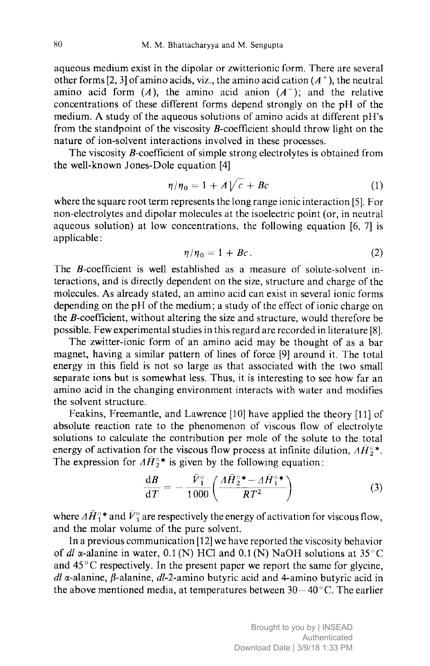aqueous medium exist in the dipolar or zwitterionic form. There are several other forms [2, 3] of amino acids, viz., the amino acid cation  $(A^+)$ , the neutral amino acid form  $(A)$ , the amino acid anion  $(A<sup>-</sup>)$ ; and the relative concentrations of these different forms depend strongly on the pH of the medium. A study of the aqueous solutions of amino acids at different pH's from the standpoint of the viscosity  $B$ -coefficient should throw light on the nature of ion-solvent interactions involved in these processes.

The viscosity  $\beta$ -coefficient of simple strong electrolytes is obtained from the well-known Jones-Dole equation [4]

$$
\eta/\eta_0 = 1 + A\sqrt{c} + Bc \tag{1}
$$

where the square root term represents the long range ionic interaction [5]. For non-electrolytes and dipolar molecules at the isoelectric point (or, in neutral aqueous solution) at low concentrations, the following equation [6, 7] is applicable :

$$
\eta/\eta_0 = 1 + Bc. \tag{2}
$$

The *B*-coefficient is well established as a measure of solute-solvent interactions, and is directly dependent on the size, structure and charge of the molecules. As already stated, an amino acid can exist in several ionic forms depending on the pH of the medium; <sup>a</sup> study of the effect of ionic charge on the *B*-coefficient, without altering the size and structure, would therefore be possible. Few experimental studies in this regard are recorded in literature [8].

The zwitter-ionic form of an amino acid may be thought of as <sup>a</sup> bar magnet, having <sup>a</sup> similar pattern of lines of force [9] around it. The total energy in this field is not so large as that associated with the two small separate ions but is somewhat less. Thus, it is interesting to see how far an amino acid in the changing environment interacts with water and modifies the solvent structure.

Feakins, Freemantle, and Lawrence [10] have applied the theory [11] of absolute reaction rate to the phenomenon of viscous flow of electrolyte solutions to calculate the contribution per mole of the solute to the total energy of activation for the viscous flow process at infinite dilution,  $\vec{AP}^{\circ*}$ . The expression for  $\Delta \bar{H}_2^{\circ*}$  is given by the following equation:

$$
\frac{\mathrm{d}B}{\mathrm{d}T} = -\frac{\bar{V}_1^{\circ}}{1000} \left( \frac{\Delta \bar{H}_2^{\circ}}{RT^2} \right) \tag{3}
$$

where  $\Delta \bar{H}^{\circ*}$  and  $\bar{V}^{\circ}$  are respectively the energy of activation for viscous flow, and the molar volume of the pure solvent.

In <sup>a</sup> previous communication [12] we have reported the viscosity behavior of dl  $\alpha$ -alanine in water, 0.1 (N) HCl and 0.1 (N) NaOH solutions at 35 °C and  $45^{\circ}$ C respectively. In the present paper we report the same for glycine,  $dl$   $\alpha$ -alanine,  $\beta$ -alanine,  $dl$ -2-amino butyric acid and 4-amino butyric acid in the above mentioned media, at temperatures between  $30-40^{\circ}$ C. The earlier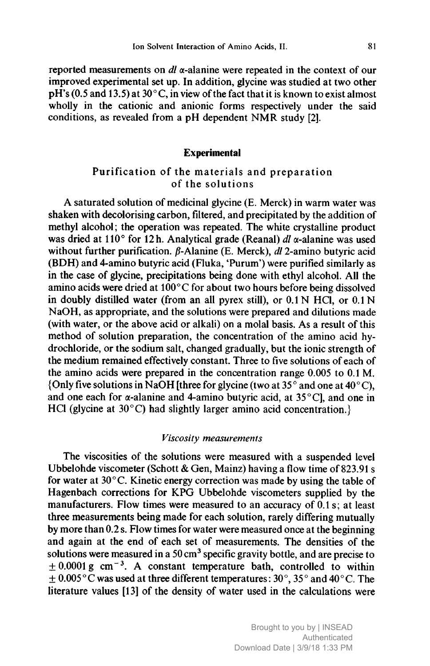reported measurements on  $dl$   $\alpha$ -alanine were repeated in the context of our improved experimental set up. In addition, glycine was studied at two other  $pH's$  (0.5 and 13.5) at 30 $^{\circ}$ C, in view of the fact that it is known to exist almost wholly in the cationic and anionic forms respectively under the said conditions, as revealed from <sup>a</sup> pH dependent NMR study [2].

## **Experimental**

# Purification of the materials and preparation of the solutions

A saturated solution of medicinal glycine (E. Merck) in warm water was shaken with decolorising carbon, filtered, and precipitated by the addition of methyl alcohol; the operation was repeated. The white crystalline product was dried at 110 $^{\circ}$  for 12 h. Analytical grade (Reanal) dl  $\alpha$ -alanine was used without further purification.  $\beta$ -Alanine (E. Merck), dl 2-amino butyric acid (BDH) and 4-amino butyric acid (Fluka, 'Purum') were purified similarly as in the case of glycine, precipitations being done with ethyl alcohol. All the amino acids were dried at 100°C for about two hours before being dissolved in doubly distilled water (from an all pyrex still), or  $0.1 N$  HCl, or  $0.1 N$ NaOH, as appropriate, and the solutions were prepared and dilutions made (with water, or the above acid or alkali) on <sup>a</sup> molai basis. As <sup>a</sup> result of this method of solution preparation, the concentration of the amino acid hydrochloride, or the sodium salt, changed gradually, but the ionic strength of the medium remained effectively constant. Three to five solutions of each of the amino acids were prepared in the concentration range 0.005 to 0.1 M. {Only five solutions in NaOH [three for glycine (two at 35 $\degree$  and one at 40 $\degree$ C), and one each for  $\alpha$ -alanine and 4-amino butyric acid, at 35 °C], and one in HCl (glycine at 30°C) had slightly larger amino acid concentration.

### Viscosity measurements

The viscosities of the solutions were measured with <sup>a</sup> suspended level Ubbelohde viscometer (Schott & Gen, Mainz) having <sup>a</sup> flow time of 823.91 <sup>s</sup> for water at  $30^{\circ}$ C. Kinetic energy correction was made by using the table of Hagenbach corrections for KPG Ubbelohde viscometers supplied by the manufacturers. Flow times were measured to an accuracy of  $0.1$  s; at least three measurements being made for each solution, rarely differing mutually by more than 0.2 s. Flow times for water were measured once at the beginning and again at the end of each set of measurements. The densities of the solutions were measured in a  $50 \text{ cm}^3$  specific gravity bottle, and are precise to  $\pm$  0.0001 g cm<sup>-3</sup>. A constant temperature bath, controlled to within  $\pm$  0.005 °C was used at three different temperatures: 30°, 35° and 40 °C. The literature values [13] of the density of water used in the calculations were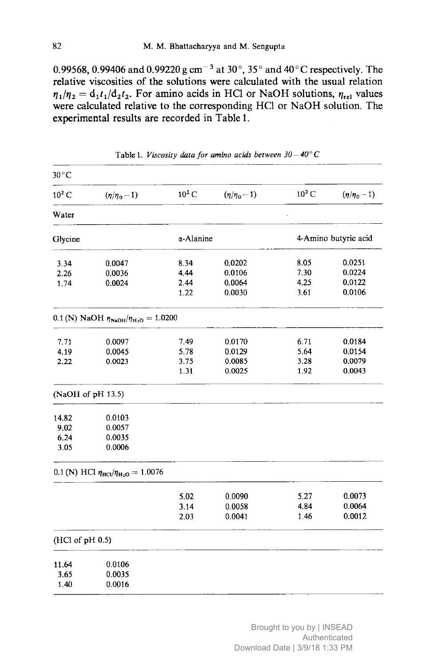0.99568, 0.99406 and 0.99220 g cm<sup>-3</sup> at 30 $^{\circ}$ , 35 $^{\circ}$  and 40 $^{\circ}$ C respectively. The relative viscosities of the solutions were calculated with the usual relation  $\eta_1/\eta_2 = d_1t_1/d_2t_2$ . For amino acids in HCl or NaOH solutions,  $\eta_{rel}$  values were calculated relative to the corresponding HCl or NaOH solution. The experimental results are recorded in Table 1.

| $(\eta/\eta_0 - 1)$ | $10^2 C$                                                                               | $(\eta/\eta_0 - 1)$                                                                                                                                                | $10^2 C$                                        | $(\eta/\eta_0 - 1)$  |
|---------------------|----------------------------------------------------------------------------------------|--------------------------------------------------------------------------------------------------------------------------------------------------------------------|-------------------------------------------------|----------------------|
|                     |                                                                                        |                                                                                                                                                                    |                                                 |                      |
|                     |                                                                                        |                                                                                                                                                                    |                                                 | 4-Amino butyric acid |
| 0.0047              | 8.34                                                                                   | 0.0202                                                                                                                                                             | 8.05                                            | 0.0251               |
| 0.0036              | 4.44                                                                                   | 0.0106                                                                                                                                                             | 7.30                                            | 0.0224               |
| 0.0024              | 2.44                                                                                   | 0.0064                                                                                                                                                             | 4.25                                            | 0.0122               |
|                     | 1.22                                                                                   | 0.0030                                                                                                                                                             | 3.61                                            | 0.0106               |
|                     |                                                                                        |                                                                                                                                                                    |                                                 |                      |
|                     |                                                                                        |                                                                                                                                                                    |                                                 | 0.0184               |
| 0.0045              | 5.78                                                                                   | 0.0129                                                                                                                                                             | 5.64                                            | 0.0154               |
| 0.0023              | 3.75                                                                                   | 0.0085                                                                                                                                                             | 3.28                                            | 0.0079               |
|                     | 1.31                                                                                   | 0.0025                                                                                                                                                             | 1.92                                            | 0.0043               |
|                     |                                                                                        |                                                                                                                                                                    |                                                 |                      |
|                     |                                                                                        |                                                                                                                                                                    |                                                 |                      |
|                     |                                                                                        |                                                                                                                                                                    |                                                 |                      |
| 0.0035              |                                                                                        |                                                                                                                                                                    |                                                 |                      |
| 0.0006              |                                                                                        |                                                                                                                                                                    |                                                 |                      |
|                     |                                                                                        |                                                                                                                                                                    |                                                 |                      |
|                     |                                                                                        |                                                                                                                                                                    |                                                 | 0.0073               |
|                     |                                                                                        |                                                                                                                                                                    |                                                 | 0.0064               |
|                     | 2.03                                                                                   | 0.0041                                                                                                                                                             | 1.46                                            | 0.0012               |
|                     |                                                                                        |                                                                                                                                                                    |                                                 |                      |
|                     |                                                                                        |                                                                                                                                                                    |                                                 |                      |
|                     |                                                                                        |                                                                                                                                                                    |                                                 |                      |
| 0.0016              |                                                                                        |                                                                                                                                                                    |                                                 |                      |
|                     | 0.0097<br>(NaOH of pH 13.5)<br>0.0103<br>0.0057<br>(HCl of pH 0.5)<br>0.0106<br>0.0035 | 0.1 (N) NaOH $\eta_{\text{NaOH}}/\eta_{\text{H}_2\text{O}} = 1.0200$<br>7.49<br>0.1 (N) HCl $\eta_{\text{HCl}}/\eta_{\text{H}_2\text{O}} = 1.0076$<br>5.02<br>3.14 | $\alpha$ -Alanine<br>0.0170<br>0.0090<br>0.0058 | 6.71<br>5.27<br>4.84 |

Table 1. *Viscosity data for amino acids between 30* – 40° C

Brought to you by | INSEAD Authenticated Download Date | 3/9/18 1:33 PM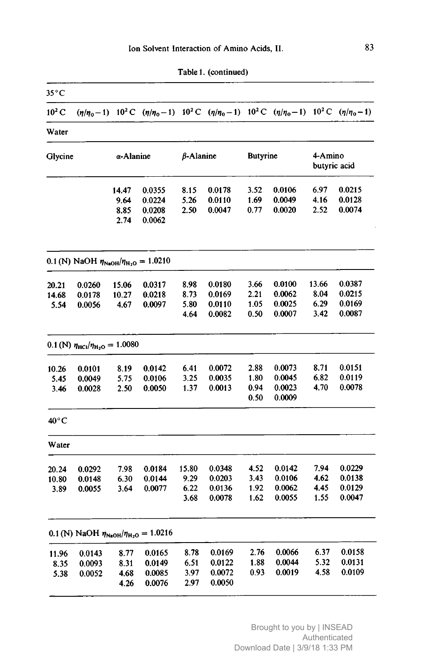| 35°C           |                                                                      |           |        |                  |                                                                                                                                                 |                 |                  |                         |             |
|----------------|----------------------------------------------------------------------|-----------|--------|------------------|-------------------------------------------------------------------------------------------------------------------------------------------------|-----------------|------------------|-------------------------|-------------|
| $10^2 C$       |                                                                      |           |        |                  | $(\eta/\eta_0-1)$ 10 <sup>2</sup> C $(\eta/\eta_0-1)$ 10 <sup>2</sup> C $(\eta/\eta_0-1)$ 10 <sup>2</sup> C $(\eta/\eta_0-1)$ 10 <sup>2</sup> C |                 |                  |                         | $(n/n_0-1)$ |
| Water          |                                                                      |           |        |                  |                                                                                                                                                 |                 |                  |                         |             |
| Glycine        |                                                                      | α-Alanine |        | $\beta$ -Alanine |                                                                                                                                                 | <b>Butyrine</b> |                  | 4-Amino<br>butyric acid |             |
|                |                                                                      | 14.47     | 0.0355 | 8.15             | 0.0178                                                                                                                                          | 3.52            | 0.0106           | 6.97                    | 0.0215      |
|                |                                                                      | 9.64      | 0.0224 | 5.26             | 0.0110                                                                                                                                          | 1.69            | 0.0049           | 4.16                    | 0.0128      |
|                |                                                                      | 8.85      | 0.0208 | 2.50             | 0.0047                                                                                                                                          | 0.77            | 0.0020           | 2.52                    | 0.0074      |
|                |                                                                      | 2.74      | 0.0062 |                  |                                                                                                                                                 |                 |                  |                         |             |
|                | 0.1 (N) NaOH $\eta_{\text{NaOH}}/\eta_{\text{H}_2\text{O}} = 1.0210$ |           |        |                  |                                                                                                                                                 |                 |                  |                         |             |
| 20.21          | 0.0260                                                               | 15.06     | 0.0317 | 8.98             | 0.0180                                                                                                                                          | 3.66            | 0.0100           | 13.66                   | 0.0387      |
| 14.68          | 0.0178                                                               | 10.27     | 0.0218 | 8.73             | 0.0169                                                                                                                                          | 2.21            | 0.0062           | 8.04                    | 0.0215      |
| 5.54           | 0.0056                                                               | 4.67      | 0.0097 | 5.80             | 0.0110                                                                                                                                          | 1.05            | 0.0025           | 6.29                    | 0.0169      |
|                |                                                                      |           |        | 4.64             | 0.0082                                                                                                                                          | 0.50            | 0.0007           | 3.42                    | 0.0087      |
|                | $0.1$ (N) $\eta_{\text{HC1}}/\eta_{\text{H}_2\text{O}} = 1.0080$     |           |        |                  |                                                                                                                                                 |                 |                  |                         |             |
| 10.26          | 0.0101                                                               | 8.19      | 0.0142 | 6.41             | 0.0072                                                                                                                                          | 2.88            | 0.0073           | 8.71                    | 0.0151      |
| 5.45           | 0.0049                                                               | 5.75      | 0.0106 | 3.25             | 0.0035                                                                                                                                          | 1.80            | 0.0045           | 6.82                    | 0.0119      |
| 3.46           | 0.0028                                                               | 2.50      | 0.0050 | 1.37             | 0.0013                                                                                                                                          | 0.94<br>0.50    | 0.0023<br>0.0009 | 4.70                    | 0.0078      |
| $40^{\circ}$ C |                                                                      |           |        |                  |                                                                                                                                                 |                 |                  |                         |             |
| Water          |                                                                      |           |        |                  |                                                                                                                                                 |                 |                  |                         |             |
| 20.24          | 0.0292                                                               | 7.98      | 0.0184 | 15.80            | 0.0348                                                                                                                                          | 4.52            | 0.0142           | 7.94                    | 0.0229      |
| 10.80          | 0.0148                                                               | 6.30      | 0.0144 | 9.29             | 0.0203                                                                                                                                          | 3.43            | 0.0106           | 4.62                    | 0.0138      |
| 3.89           | 0.0055                                                               | 3.64      | 0.0077 | 6.22             | 0.0136                                                                                                                                          | 1.92            | 0.0062           | 4.45                    | 0.0129      |
|                |                                                                      |           |        | 3.68             | 0.0078                                                                                                                                          | 1.62            | 0.0055           | 1.55                    | 0.0047      |
|                | 0.1 (N) NaOH $\eta_{\text{NaOH}}/\eta_{\text{H}_2\text{O}} = 1.0216$ |           |        |                  |                                                                                                                                                 |                 |                  |                         |             |
| 11.96          | 0.0143                                                               | 8.77      | 0.0165 | 8.78             | 0.0169                                                                                                                                          | 2.76            | 0.0066           | 6.37                    | 0.0158      |
| 8.35           | 0.0093                                                               | 8.31      | 0.0149 | 6.51             | 0.0122                                                                                                                                          | 1.88            | 0.0044           | 5.32                    | 0.0131      |
| 5.38           | 0.0052                                                               | 4.68      | 0.0085 | 3.97             | 0.0072                                                                                                                                          | 0.93            | 0.0019           | 4.58                    | 0.0109      |
|                |                                                                      | 4.26      | 0.0076 | 2.97             | 0.0050                                                                                                                                          |                 |                  |                         |             |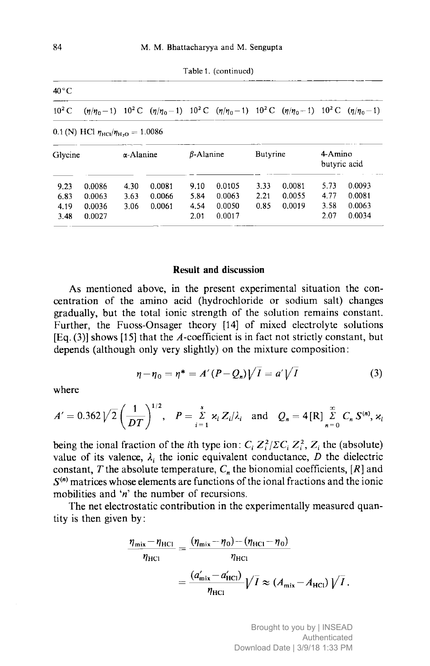| $40^{\circ}$ C |                                                                    |                   |                                                                                                                                                                   |                  |        |          |        |                         |        |
|----------------|--------------------------------------------------------------------|-------------------|-------------------------------------------------------------------------------------------------------------------------------------------------------------------|------------------|--------|----------|--------|-------------------------|--------|
| $10^2$ C       |                                                                    |                   | $(\eta/\eta_0-1)$ 10 <sup>2</sup> C $(\eta/\eta_0-1)$ 10 <sup>2</sup> C $(\eta/\eta_0-1)$ 10 <sup>2</sup> C $(\eta/\eta_0-1)$ 10 <sup>2</sup> C $(\eta/\eta_0-1)$ |                  |        |          |        |                         |        |
|                | 0.1 (N) HCl $\eta_{\text{HC1}}/\eta_{\text{H}_2\text{O}} = 1.0086$ |                   |                                                                                                                                                                   |                  |        |          |        |                         |        |
| Glycine        |                                                                    | $\alpha$ -Alanine |                                                                                                                                                                   | $\beta$ -Alanine |        | Butyrine |        | 4-Amino<br>butyric acid |        |
|                | 0.0086                                                             | 4.30              | 0.0081                                                                                                                                                            | 9.10             | 0.0105 | 3.33     | 0.0081 | 5.73                    | 0.0093 |
| 9.23           |                                                                    |                   |                                                                                                                                                                   |                  |        |          |        |                         |        |
| 6.83           | 0.0063                                                             | 3.63              | 0.0066                                                                                                                                                            | 5.84             | 0.0063 | 2.21     | 0.0055 | 4.77                    | 0.0081 |
| 4.19           | 0.0036                                                             | 3.06              | 0.0061                                                                                                                                                            | 4.54             | 0.0050 | 0.85     | 0.0019 | 3.58                    | 0.0063 |

Table 1. (continued)

## Result and discussion

As mentioned above, in the present experimental situation the concentration of the amino acid (hydrochloride or sodium salt) changes gradually, but the total ionic strength of the solution remains constant. Further, the Fuoss-Onsager theory [14] of mixed electrolyte solutions  $[Eq. (3)]$  shows  $[15]$  that the A-coefficient is in fact not strictly constant, but depends (although only very slightly) on the mixture composition:

$$
\eta - \eta_0 = \eta^* = A'(P - Q_n)\sqrt{I} = a'\sqrt{I}
$$
 (3)

where

$$
A' = 0.362 \sqrt{2} \left( \frac{1}{DT} \right)^{1/2}, \quad P = \sum_{i=1}^{s} \kappa_i Z_i / \lambda_i \quad \text{and} \quad Q_n = 4 \text{ [R]} \sum_{n=0}^{\infty} C_n S^{(n)}, \kappa_i
$$

being the ional fraction of the *i*th type ion:  $C_i Z_i^2 / \Sigma C_i Z_i^2$ ,  $Z_i$  the (absolute) value of its valence,  $\lambda_i$  the ionic equivalent conductance, D the dielectric constant, T the absolute temperature,  $C_n$  the bionomial coefficients,  $[R]$  and  $S<sup>(n)</sup>$  matrices whose elements are functions of the ional fractions and the ionic mobilities and ' $n$ ' the number of recursions.

The net electrostatic contribution in the experimentally measured quantity is then given by :

$$
\frac{\eta_{\text{mix}} - \eta_{\text{HC1}}}{\eta_{\text{HC1}}} = \frac{(\eta_{\text{mix}} - \eta_0) - (\eta_{\text{HC1}} - \eta_0)}{\eta_{\text{HC1}}} \n= \frac{(a'_{\text{mix}} - a'_{\text{HC1}})}{\eta_{\text{HC1}}} \sqrt{I} \approx (A_{\text{mix}} - A_{\text{HC1}}) \sqrt{I}.
$$

Brought to you by | INSEAD Authenticated Download Date | 3/9/18 1:33 PM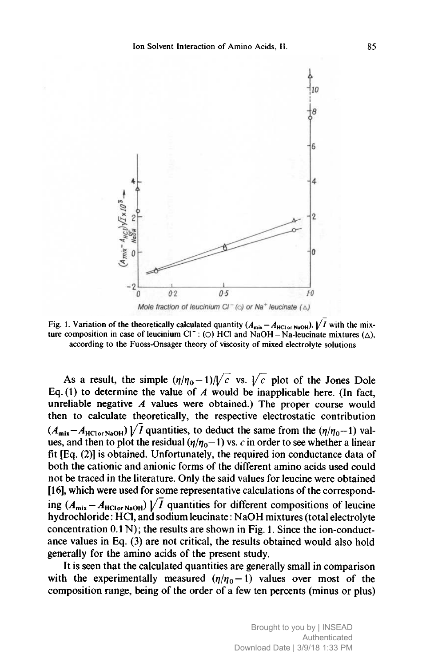

Fig. 1. Variation of the theoretically calculated quantity  $(A_{mix}-A_{HC1orNaOH})$ .  $\bigvee I$  with the mixture composition in case of leucinium  $CI^-$ : (O)  $HCI$  and NaOH – Na-leucinate mixtures ( $\Delta$ ),<br>according to the Fuoss-Onsager theory of viscosity of mixed electrolyte solutions according to the Fuoss-Onsager theory of viscosity of mixed electrolyte solutions

As a result, the simple  $(\eta/\eta_0-1)/\sqrt{c}$  vs.  $\sqrt{c}$  plot of the Jones Dole Eq. (1) to determine the value of  $\vec{A}$  would be inapplicable here. (In fact, unreliable negative  $A$  values were obtained.) The proper course would then to calculate theoretically, the respective electrostatic contribution  $(A_{mix} - A_{HCI}$ <sub>NaOH</sub> $)/\overline{I}$  quantities, to deduct the same from the  $(\eta / \eta_0 - 1)$  values, and then to plot the residual  $(\eta/\eta_0-1)$  vs. c in order to see whether a linear fit [Eq. (2)] is obtained. Unfortunately, the required ion conductance data of both the cationic and anionic forms of the different amino acids used could not be traced in the literature. Only the said values for leucine were obtained [16], which were used for some representative calculations of the corresponding  $(A_{\text{mix}} - A_{\text{HCI}\text{or NaOH}}) \sqrt{I}$  quantities for different compositions of leucine hydrochloride : HCl, and sodium leucinate : NaOH mixtures (total electrolyte concentration 0.1 N); the results are shown in Fig. 1. Since the ion-conductance values in Eq. (3) are not critical, the results obtained would also hold generally for the amino acids of the present study.

It is seen that the calculated quantities are generally small in comparison with the experimentally measured  $(\eta/\eta_0 - 1)$  values over most of the composition range, being of the order of <sup>a</sup> few ten percents (minus or plus)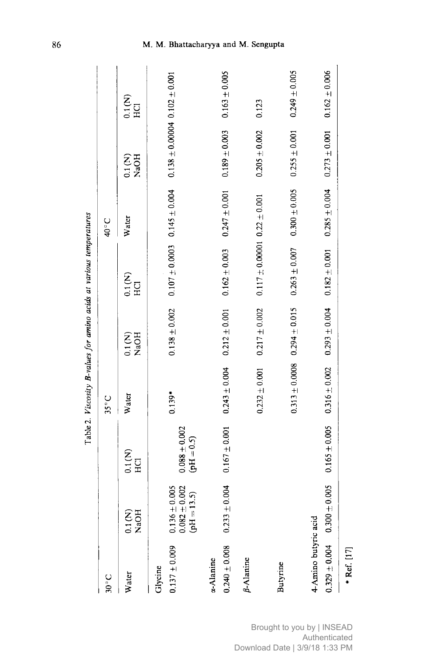|                                           |                                                       |                                 |                   |                                      | Table 2. Viscosity B-values for amino acids at various temperatures |                   |                                       |                      |
|-------------------------------------------|-------------------------------------------------------|---------------------------------|-------------------|--------------------------------------|---------------------------------------------------------------------|-------------------|---------------------------------------|----------------------|
| $30^{\circ}$ C                            |                                                       |                                 | $35^{\circ}$ C    |                                      |                                                                     | 40°C              |                                       |                      |
| Water                                     | 0.1 (N)<br>NaOH                                       | $\sum_{H \text{Cl}}$            | Water             | NaOH<br>$\frac{2}{10}$               | $\sum_{H \text{Cl}}$                                                | Water             | $0.1$ (N)<br>NaOH                     | $\sum_{H \text{CI}}$ |
| $0.137 \pm 0.009$<br>Glycine              | $0.082 \pm 0.002$<br>(pH = 13.5)<br>$0.136 \pm 0.005$ | $0.088\pm0.002$<br>$(pH = 0.5)$ | $0.139*$          | $0.138 \pm 0.002$                    | $0.107 \pm 0.0003$ 0.145 $\pm$ 0.004                                |                   | $0.138 \pm 0.00004$ 0.102 $\pm$ 0.001 |                      |
| $0.240 \pm 0.008$<br>$\alpha$ -Alanine    | $0.233 \pm 0.004$                                     | $0.167 \pm 0.001$               | $0.243 \pm 0.004$ | $0.212 \pm 0.001$                    | $0.162 \pm 0.003$                                                   | $0.247 \pm 0.001$ | $0.189 \pm 0.003$                     | $0.163 \pm 0.005$    |
| $\beta$ -Alanine                          |                                                       |                                 | $0.232 \pm 0.001$ | $0.217 \pm 0.002$                    | $0.117 \pm 0.0001$ 0.22 $\pm$ 0.001                                 |                   | $0.205 \pm 0.002$                     | 0.123                |
| Butyrine                                  |                                                       |                                 |                   | $0.313 \pm 0.0008$ $0.294 \pm 0.015$ | $0.263 \pm 0.007$ 0.300 $\pm$ 0.005                                 |                   | $0.255 \pm 0.001$                     | $0.249 \pm 0.005$    |
| 4-Amino butyric acid<br>$0.329 \pm 0.004$ | $0.300 \pm 0.005$                                     | $0.165 \pm 0.005$               | $0.316 \pm 0.002$ | $0.293 \pm 0.004$                    | $0.182 \pm 0.001$                                                   | $0.285 \pm 0.004$ | $0.273 \pm 0.001$                     | $0.162 \pm 0.006$    |
| * Ref. [17]                               |                                                       |                                 |                   |                                      |                                                                     |                   |                                       |                      |

Brought to you by | INSEAD Authenticated Download Date | 3/9/18 1:33 PM

# <sup>86</sup> . . Bhattacharyya and . Sengupta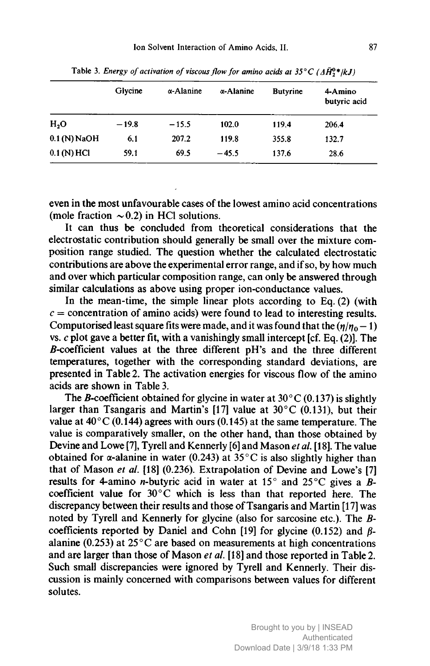|                  | Glycine | $\alpha$ -Alanine | $\alpha$ -Alanine | <b>Butyrine</b> | 4-Amino<br>butyric acid |
|------------------|---------|-------------------|-------------------|-----------------|-------------------------|
| H <sub>2</sub> O | $-19.8$ | $-15.5$           | 102.0             | 119.4           | 206.4                   |
| $0.1$ (N) NaOH   | 6.1     | 207.2             | 119.8             | 355.8           | 132.7                   |
| $0.1(N)$ HCl     | 59.1    | 69.5              | $-45.5$           | 137.6           | 28.6                    |

Table 3. Energy of activation of viscous flow for amino acids at 35°C ( $\Delta \bar{H}^{0*}_{2}/kJ$ )

even in the most unfavourable cases of the lowest amino acid concentrations (mole fraction  $\sim$  0.2) in HCl solutions.

It can thus be concluded from theoretical considerations that the electrostatic contribution should generally be small over the mixture composition range studied. The question whether the calculated electrostatic contributions are above the experimental error range, and if so, by how much and over which particular composition range, can only be answered through similar calculations as above using proper ion-conductance values.

In the mean-time, the simple linear plots according to Eq. (2) (with  $c =$  concentration of amino acids) were found to lead to interesting results. Computerised least square fits were made, and it was found that the  $(\eta/\eta_0 - 1)$ vs.  $c$  plot gave a better fit, with a vanishingly small intercept [cf. Eq. (2)]. The 5-coefficient values at the three different pH's and the three different temperatures, together with the corresponding standard deviations, are presented in Table 2. The activation energies for viscous flow of the amino acids are shown in Table 3.

The B-coefficient obtained for glycine in water at  $30^{\circ}$ C (0.137) is slightly larger than Tsangaris and Martin's [17] value at  $30^{\circ}$ C (0.131), but their value at  $40^{\circ}$ C (0.144) agrees with ours (0.145) at the same temperature. The value is comparatively smaller, on the other hand, than those obtained by Devine and Lowe [7], Tyrell and Kennerly [6] and Mason *et al.* [18]. The value obtained for  $\alpha$ -alanine in water (0.243) at 35 $^{\circ}$ C is also slightly higher than that of Mason et al. [18] (0.236). Extrapolation of Devine and Lowe's [7] results for 4-amino *n*-butyric acid in water at 15 $\degree$  and 25 $\degree$ C gives a Bcoefficient value for  $30^{\circ}$ C which is less than that reported here. The discrepancy between their results and those of Tsangaris and Martin [17] was noted by Tyrell and Kennerly for glycine (also for sarcosine etc.). The Bcoefficients reported by Daniel and Cohn [19] for glycine (0.152) and ßalanine (0.253) at  $25^{\circ}$ C are based on measurements at high concentrations and are larger than those of Mason et al. [18] and those reported in Table 2. Such small discrepancies were ignored by Tyrell and Kennerly. Their discussion is mainly concerned with comparisons between values for different solutes.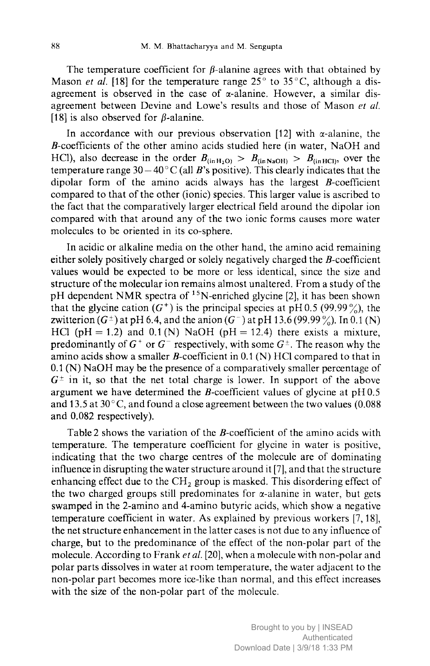The temperature coefficient for  $\beta$ -alanine agrees with that obtained by Mason *et al.* [18] for the temperature range  $25^{\circ}$  to  $35^{\circ}$ C, although a disagreement is observed in the case of  $\alpha$ -alanine. However, a similar disagreement between Devine and Lowe's results and those of Mason et al. [18] is also observed for  $\beta$ -alanine.

In accordance with our previous observation [12] with  $\alpha$ -alanine, the B-coefficients of the other amino acids studied here (in water, NaOH and HCl), also decrease in the order  $B_{(in H_2O)} > B_{(in NaOH)} > B_{(in HCl)}$ , over the temperature range  $30 - 40^{\circ}$ C (all B's positive). This clearly indicates that the dipolar form of the amino acids always has the largest  $B$ -coefficient compared to that of the other (ionic) species. This larger value is ascribed to the fact that the comparatively larger electrical field around the dipolar ion compared with that around any of the two ionic forms causes more water molecules to be oriented in its co-sphere.

In acidic or alkaline media on the other hand, the amino acid remaining either solely positively charged or solely negatively charged the  $B$ -coefficient values would be expected to be more or less identical, since the size and structure of the molecular ion remains almost unaltered. From a study of the pH dependent NMR spectra of <sup>15</sup>N-enriched glycine [2], it has been shown that the glycine cation  $(G^+)$  is the principal species at pH0.5 (99.99%), the zwitterion  $(G^{\pm})$  at pH 6.4, and the anion  $(G^{-})$  at pH 13.6 (99.99%). In 0.1 (N) HCl (pH = 1.2) and 0.1 (N) NaOH (pH = 12.4) there exists a mixture, predominantly of  $G^+$  or  $G^-$  respectively, with some  $G^{\pm}$ . The reason why the amino acids show a smaller *B*-coefficient in  $0.1$  (N) HCl compared to that in 0.1 (N) NaOH may be the presence of <sup>a</sup> comparatively smaller percentage of  $G^{\pm}$  in it, so that the net total charge is lower. In support of the above argument we have determined the  $B$ -coefficient values of glycine at pH $0.5$ and 13.5 at 30°C, and found <sup>a</sup> close agreement between the two values (0.088 and 0.082 respectively).

Table 2 shows the variation of the B-coefficient of the amino acids with temperature. The temperature coefficient for glycine in water is positive, indicating that the two charge centres of the molecule are of dominating influence in disrupting the water structure around it [7], and that the structure enhancing effect due to the  $CH<sub>2</sub>$  group is masked. This disordering effect of the two charged groups still predominates for  $\alpha$ -alanine in water, but gets swamped in the 2-amino and 4-amino butyric acids, which show <sup>a</sup> negative temperature coefficient in water. As explained by previous workers [7,18], the net structure enhancement in the latter cases is not due to any influence of charge, but to the predominance of the effect of the non-polar part of the molecule. According to Frank et al. [20], when a molecule with non-polar and polar parts dissolves in water at room temperature, the water adjacent to the non-polar part becomes more ice-like than normal, and this effect increases with the size of the non-polar part of the molecule.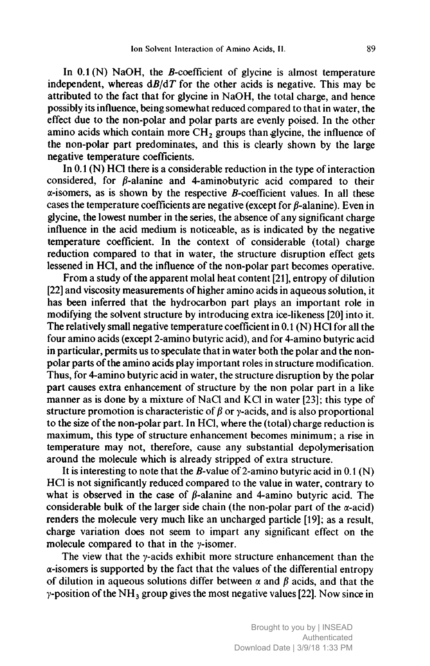In  $0.1$  (N) NaOH, the *B*-coefficient of glycine is almost temperature independent, whereas  $dB/dT$  for the other acids is negative. This may be attributed to the fact that for glycine in NaOH, the total charge, and hence possibly its influence, being somewhat reduced compared to that in water, the effect due to the non-polar and polar parts are evenly poised. In the other amino acids which contain more  $CH<sub>2</sub>$  groups than glycine, the influence of the non-polar part predominates, and this is clearly shown by the large negative temperature coefficients.

In  $0.1$  (N) HCl there is a considerable reduction in the type of interaction considered, for  $\beta$ -alanine and 4-aminobutyric acid compared to their  $\alpha$ -isomers, as is shown by the respective *B*-coefficient values. In all these cases the temperature coefficients are negative (except for  $\beta$ -alanine). Even in glycine, the lowest number in the series, the absence of any significant charge influence in the acid medium is noticeable, as is indicated by the negative temperature coefficient. In the context of considerable (total) charge reduction compared to that in water, the structure disruption effect gets lessened in HCl, and the influence of the non-polar part becomes operative.

From <sup>a</sup> study of the apparent molai heat content [21], entropy of dilution [22] and viscosity measurements of higher amino acids in aqueous solution, it has been inferred that the hydrocarbon part plays an important role in modifying the solvent structure by introducing extra ice-likeness [20] into it. The relatively small negative temperature coefficient in 0.1 (N) HCl for all the four amino acids (except 2-amino butyric acid), and for 4-amino butyric acid in particular, permits us to speculate that in water both the polar and the nonpolar parts of the amino acids play important roles in structure modification. Thus, for 4-amino butyric acid in water, the structure disruption by the polar part causes extra enhancement of structure by the non polar part in <sup>a</sup> like manner as is done by a mixture of NaCl and KCl in water [23]; this type of structure promotion is characteristic of  $\beta$  or y-acids, and is also proportional to the size of the non-polar part. In HCl, where the (total) charge reduction is maximum, this type of structure enhancement becomes minimum ; <sup>a</sup> rise in temperature may not, therefore, cause any substantial depolymerisation around the molecule which is already stripped of extra structure.

It is interesting to note that the B-value of 2-amino butyric acid in  $0.1$  (N) HCl is not significantly reduced compared to the value in water, contrary to what is observed in the case of  $\beta$ -alanine and 4-amino butyric acid. The considerable bulk of the larger side chain (the non-polar part of the  $\alpha$ -acid) renders the molecule very much like an uncharged particle [19]; as <sup>a</sup> result, charge variation does not seem to impart any significant effect on the molecule compared to that in the  $\gamma$ -isomer.

The view that the  $\gamma$ -acids exhibit more structure enhancement than the  $\alpha$ -isomers is supported by the fact that the values of the differential entropy of dilution in aqueous solutions differ between  $\alpha$  and  $\beta$  acids, and that the  $\gamma$ -position of the NH<sub>3</sub> group gives the most negative values [22]. Now since in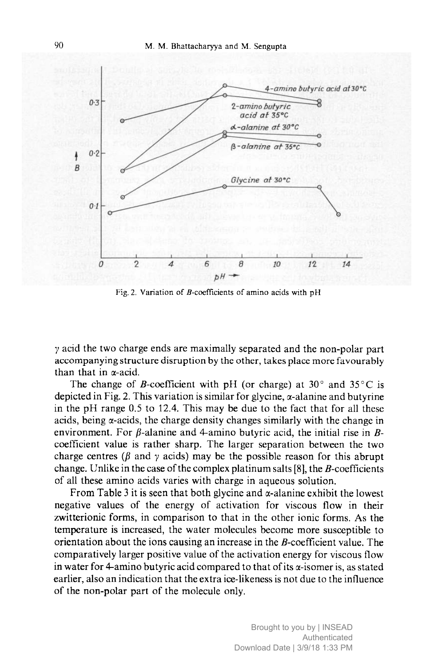

Fig. 2. Variation of  $B$ -coefficients of amino acids with  $pH$ 

 $\gamma$  acid the two charge ends are maximally separated and the non-polar part accompanying structure disruption by the other, takes place more favourably than that in  $\alpha$ -acid.

The change of *B*-coefficient with pH (or charge) at 30 $^{\circ}$  and 35 $^{\circ}$ C is depicted in Fig. 2. This variation is similar for glycine,  $\alpha$ -alanine and butyrine in the pH range 0.5 to 12.4. This may be due to the fact that for all these acids, being  $\alpha$ -acids, the charge density changes similarly with the change in environment. For  $\beta$ -alanine and 4-amino butyric acid, the initial rise in  $\beta$ coefficient value is rather sharp. The larger separation between the two charge centres ( $\beta$  and  $\gamma$  acids) may be the possible reason for this abrupt change. Unlike in the case of the complex platinum salts  $[8]$ , the B-coefficients of all these amino acids varies with charge in aqueous solution.

From Table 3 it is seen that both glycine and  $\alpha$ -alanine exhibit the lowest negative values of the energy of activation for viscous flow in their zwitterionic forms, in comparison to that in the other ionic forms. As the temperature is increased, the water molecules become more susceptible to orientation about the ions causing an increase in the  $B$ -coefficient value. The comparatively larger positive value of the activation energy for viscous flow in water for 4-amino butyric acid compared to that of its  $\alpha$ -isomer is, as stated earlier, also an indication that the extra ice-likeness is not due to the influence of the non-polar part of the molecule only.